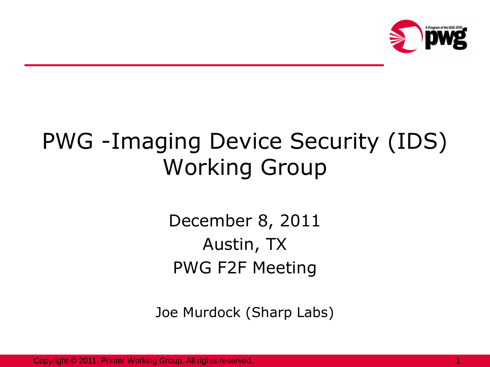

# PWG -Imaging Device Security (IDS) Working Group

December 8, 2011 Austin, TX PWG F2F Meeting

Joe Murdock (Sharp Labs)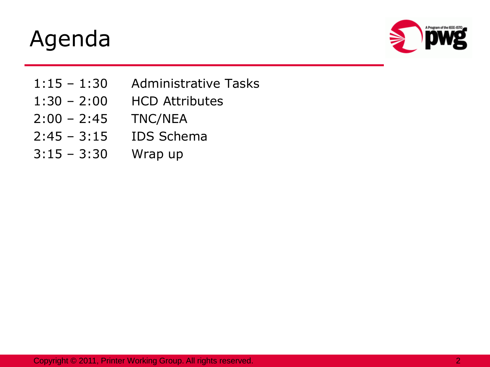## Agenda



- 1:15 1:30 Administrative Tasks
- 1:30 2:00 HCD Attributes
- 2:00 2:45 TNC/NEA
- 2:45 3:15 IDS Schema
- 3:15 3:30 Wrap up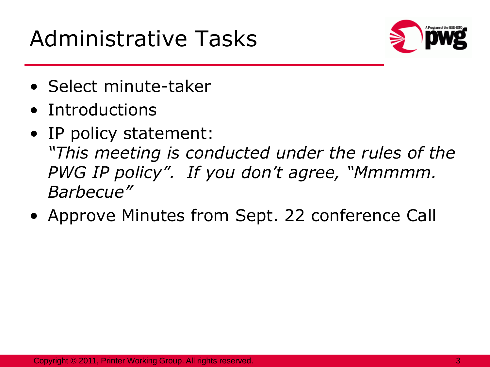## Administrative Tasks



- Select minute-taker
- Introductions
- IP policy statement: *"This meeting is conducted under the rules of the PWG IP policy". If you don't agree, "Mmmmm. Barbecue"*
- Approve Minutes from Sept. 22 conference Call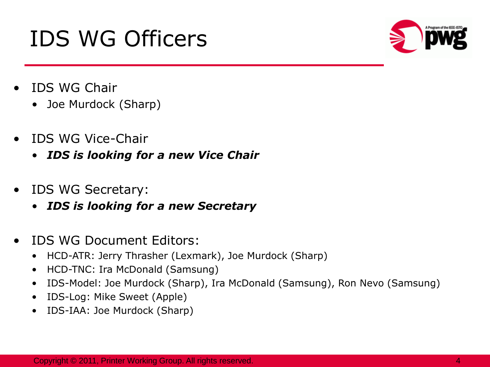# IDS WG Officers



- IDS WG Chair
	- Joe Murdock (Sharp)
- IDS WG Vice-Chair
	- *IDS is looking for a new Vice Chair*
- IDS WG Secretary:
	- *IDS is looking for a new Secretary*
- IDS WG Document Editors:
	- HCD-ATR: Jerry Thrasher (Lexmark), Joe Murdock (Sharp)
	- HCD-TNC: Ira McDonald (Samsung)
	- IDS-Model: Joe Murdock (Sharp), Ira McDonald (Samsung), Ron Nevo (Samsung)
	- IDS-Log: Mike Sweet (Apple)
	- IDS-IAA: Joe Murdock (Sharp)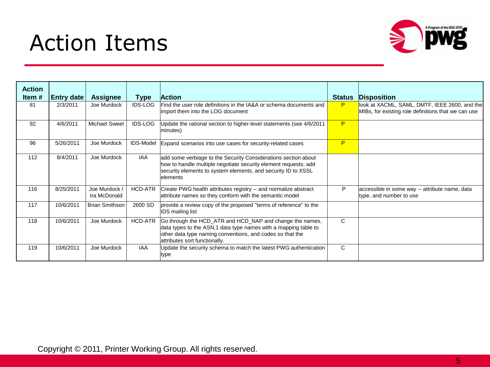## Action Items



| <b>Action</b><br>Item $#$ | <b>Entry date</b> | <b>Assignee</b>               | Type           | <b>Action</b>                                                                                                                                                                                                             | <b>Status</b> | <b>Disposition</b>                                                                                   |
|---------------------------|-------------------|-------------------------------|----------------|---------------------------------------------------------------------------------------------------------------------------------------------------------------------------------------------------------------------------|---------------|------------------------------------------------------------------------------------------------------|
| 81                        | 2/3/2011          | Joe Murdock                   | <b>IDS-LOG</b> | Find the user role definitions in the IA&A or schema documents and<br>import them into the LOG document                                                                                                                   | P             | look at XACML, SAML, DMTF, IEEE 2600, and the<br>MIBs, for existing role definitions that we can use |
| 92                        | 4/6/2011          | <b>Michael Sweet</b>          | <b>IDS-LOG</b> | Update the rational section to higher-level statements (see 4/6/2011<br>minutes)                                                                                                                                          | P             |                                                                                                      |
| 96                        | 5/26/2011         | Joe Murdock                   | IDS-Model      | Expand scenarios into use cases for security-related cases                                                                                                                                                                | P             |                                                                                                      |
| 112                       | 8/4/2011          | Joe Murdock                   | IAA            | add some verbiage to the Security Considerations section about<br>how to handle multiple negotiate security element requests; add<br>security elements to system elements, and security ID to XSSL<br>lelements           |               |                                                                                                      |
| 116                       | 8/25/2011         | Joe Murdock /<br>Ira McDonald | HCD-ATR        | Create PWG health attributes registry -- and normalize abstract<br>attribute names so they conform with the semantic model                                                                                                | P             | accessible in some way -- attribute name, data<br>type, and number to use                            |
| 117                       | 10/6/2011         | <b>Brian Smithson</b>         | 2600 SD        | provide a review copy of the proposed "terms of reference" to the<br><b>IDS</b> mailing list                                                                                                                              |               |                                                                                                      |
| 118                       | 10/6/2011         | Joe Murdock                   | HCD-ATR        | Go through the HCD_ATR and HCD_NAP and change the names,<br>data types to the ASN.1 data type names with a mapping table to<br>other data type naming conventions, and codes so that the<br>attributes sort functionally. | $\mathsf{C}$  |                                                                                                      |
| 119                       | 10/6/2011         | Joe Murdock                   | <b>IAA</b>     | Update the security schema to match the latest PWG authentication<br>type                                                                                                                                                 | $\mathsf{C}$  |                                                                                                      |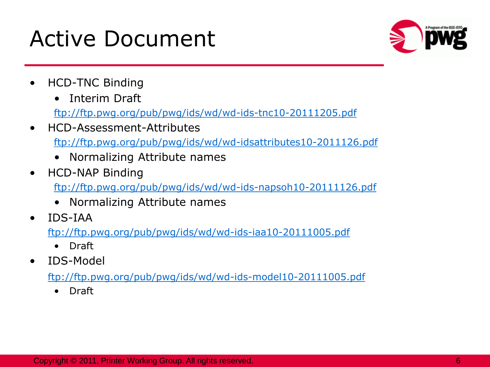## Active Document



- HCD-TNC Binding
	- Interim Draft

<ftp://ftp.pwg.org/pub/pwg/ids/wd/wd-ids-tnc10-20111205.pdf>

• HCD-Assessment-Attributes

<ftp://ftp.pwg.org/pub/pwg/ids/wd/wd-idsattributes10-2011126.pdf>

- Normalizing Attribute names
- HCD-NAP Binding

<ftp://ftp.pwg.org/pub/pwg/ids/wd/wd-ids-napsoh10-20111126.pdf>

- Normalizing Attribute names
- IDS-IAA

<ftp://ftp.pwg.org/pub/pwg/ids/wd/wd-ids-iaa10-20111005.pdf>

- Draft
- IDS-Model

<ftp://ftp.pwg.org/pub/pwg/ids/wd/wd-ids-model10-20111005.pdf>

• Draft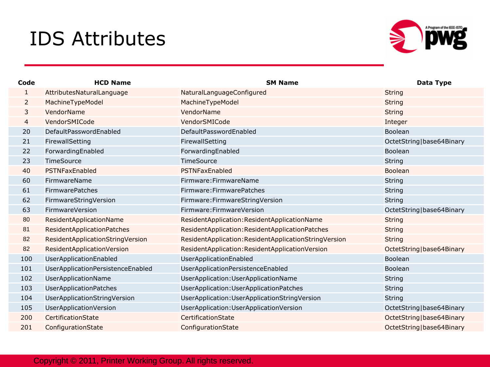### IDS Attributes



| Code | <b>HCD Name</b>                   | <b>SM Name</b>                                       | Data Type                  |
|------|-----------------------------------|------------------------------------------------------|----------------------------|
| 1    | AttributesNaturalLanguage         | NaturalLanguageConfigured                            | <b>String</b>              |
| 2    | MachineTypeModel                  | MachineTypeModel                                     | <b>String</b>              |
| 3    | VendorName                        | VendorName                                           | <b>String</b>              |
| 4    | VendorSMICode                     | VendorSMICode                                        | Integer                    |
| 20   | DefaultPasswordEnabled            | DefaultPasswordEnabled                               | Boolean                    |
| 21   | FirewallSetting                   | FirewallSetting                                      | OctetString   base64Binary |
| 22   | ForwardingEnabled                 | ForwardingEnabled                                    | <b>Boolean</b>             |
| 23   | TimeSource                        | TimeSource                                           | <b>String</b>              |
| 40   | PSTNFaxEnabled                    | PSTNFaxEnabled                                       | <b>Boolean</b>             |
| 60   | FirmwareName                      | Firmware: FirmwareName                               | <b>String</b>              |
| 61   | <b>FirmwarePatches</b>            | Firmware: Firmware Patches                           | <b>String</b>              |
| 62   | FirmwareStringVersion             | Firmware: FirmwareStringVersion                      | String                     |
| 63   | FirmwareVersion                   | Firmware: FirmwareVersion                            | OctetString   base64Binary |
| 80   | <b>ResidentApplicationName</b>    | ResidentApplication: ResidentApplicationName         | <b>String</b>              |
| 81   | ResidentApplicationPatches        | ResidentApplication: ResidentApplicationPatches      | <b>String</b>              |
| 82   | ResidentApplicationStringVersion  | ResidentApplication:ResidentApplicationStringVersion | <b>String</b>              |
| 82   | ResidentApplicationVersion        | ResidentApplication: ResidentApplicationVersion      | OctetString   base64Binary |
| 100  | UserApplicationEnabled            | UserApplicationEnabled                               | Boolean                    |
| 101  | UserApplicationPersistenceEnabled | UserApplicationPersistenceEnabled                    | <b>Boolean</b>             |
| 102  | <b>UserApplicationName</b>        | UserApplication:UserApplicationName                  | <b>String</b>              |
| 103  | <b>UserApplicationPatches</b>     | UserApplication: UserApplicationPatches              | String                     |
| 104  | UserApplicationStringVersion      | UserApplication:UserApplicationStringVersion         | String                     |
| 105  | <b>UserApplicationVersion</b>     | UserApplication:UserApplicationVersion               | OctetString   base64Binary |
| 200  | CertificationState                | CertificationState                                   | OctetString   base64Binary |
| 201  | ConfigurationState                | ConfigurationState                                   | OctetString   base64Binary |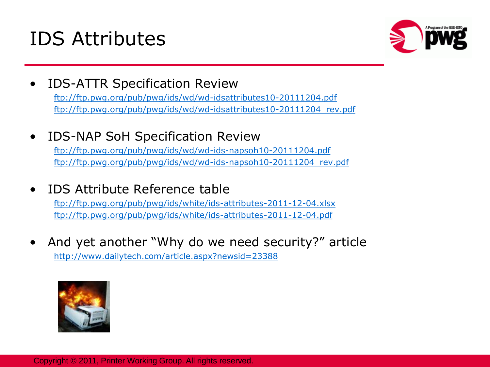## IDS Attributes



#### • IDS-ATTR Specification Review

<ftp://ftp.pwg.org/pub/pwg/ids/wd/wd-idsattributes10-20111204.pdf> [ftp://ftp.pwg.org/pub/pwg/ids/wd/wd-idsattributes10-20111204\\_rev.pdf](ftp://ftp.pwg.org/pub/pwg/ids/wd/wd-idsattributes10-20111204_rev.pdf)

### • IDS-NAP SoH Specification Review

<ftp://ftp.pwg.org/pub/pwg/ids/wd/wd-ids-napsoh10-20111204.pdf> [ftp://ftp.pwg.org/pub/pwg/ids/wd/wd-ids-napsoh10-20111204\\_rev.pdf](ftp://ftp.pwg.org/pub/pwg/ids/wd/wd-ids-napsoh10-20111204_rev.pdf)

### • IDS Attribute Reference table

<ftp://ftp.pwg.org/pub/pwg/ids/white/ids-attributes-2011-12-04.xlsx> <ftp://ftp.pwg.org/pub/pwg/ids/white/ids-attributes-2011-12-04.pdf>

• And yet another "Why do we need security?" article

<http://www.dailytech.com/article.aspx?newsid=23388>

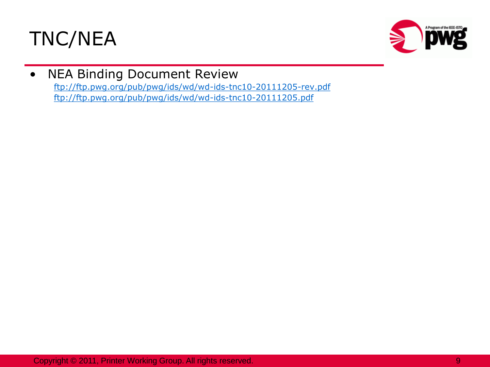



#### NEA Binding Document Review

<ftp://ftp.pwg.org/pub/pwg/ids/wd/wd-ids-tnc10-20111205-rev.pdf> <ftp://ftp.pwg.org/pub/pwg/ids/wd/wd-ids-tnc10-20111205.pdf>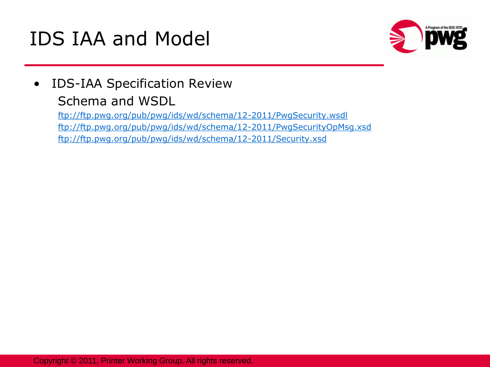### IDS IAA and Model



• IDS-IAA Specification Review Schema and WSDL

> <ftp://ftp.pwg.org/pub/pwg/ids/wd/schema/12-2011/PwgSecurity.wsdl> <ftp://ftp.pwg.org/pub/pwg/ids/wd/schema/12-2011/PwgSecurityOpMsg.xsd> <ftp://ftp.pwg.org/pub/pwg/ids/wd/schema/12-2011/Security.xsd>